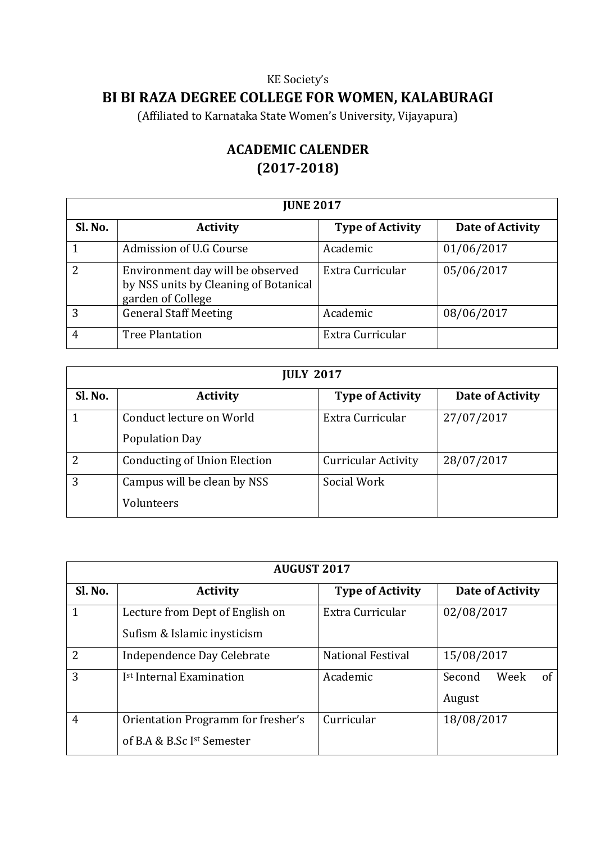## KE Society's

## **BI BI RAZA DEGREE COLLEGE FOR WOMEN, KALABURAGI**

(Affiliated to Karnataka State Women's University, Vijayapura)

## **ACADEMIC CALENDER (2017-2018)**

| <b>JUNE 2017</b> |                                                                                                |                         |                  |  |
|------------------|------------------------------------------------------------------------------------------------|-------------------------|------------------|--|
| Sl. No.          | <b>Activity</b>                                                                                | <b>Type of Activity</b> | Date of Activity |  |
|                  | Admission of U.G Course                                                                        | Academic                | 01/06/2017       |  |
| 2                | Environment day will be observed<br>by NSS units by Cleaning of Botanical<br>garden of College | Extra Curricular        | 05/06/2017       |  |
| 3                | <b>General Staff Meeting</b>                                                                   | Academic                | 08/06/2017       |  |
| 4                | <b>Tree Plantation</b>                                                                         | Extra Curricular        |                  |  |

| <b>JULY 2017</b> |                                                   |                            |                  |  |
|------------------|---------------------------------------------------|----------------------------|------------------|--|
| Sl. No.          | <b>Activity</b>                                   | <b>Type of Activity</b>    | Date of Activity |  |
|                  | Conduct lecture on World<br><b>Population Day</b> | Extra Curricular           | 27/07/2017       |  |
| $\overline{2}$   | <b>Conducting of Union Election</b>               | <b>Curricular Activity</b> | 28/07/2017       |  |
| 3                | Campus will be clean by NSS<br>Volunteers         | Social Work                |                  |  |

| <b>AUGUST 2017</b> |                                                                  |                          |                                |  |
|--------------------|------------------------------------------------------------------|--------------------------|--------------------------------|--|
| Sl. No.            | <b>Activity</b>                                                  | <b>Type of Activity</b>  | Date of Activity               |  |
| 1                  | Lecture from Dept of English on<br>Sufism & Islamic inysticism   | Extra Curricular         | 02/08/2017                     |  |
| $\overline{2}$     | Independence Day Celebrate                                       | <b>National Festival</b> | 15/08/2017                     |  |
| 3                  | I <sup>st</sup> Internal Examination                             | Academic                 | of<br>Week<br>Second<br>August |  |
| $\overline{4}$     | Orientation Programm for fresher's<br>of B.A & B.Sc Ist Semester | Curricular               | 18/08/2017                     |  |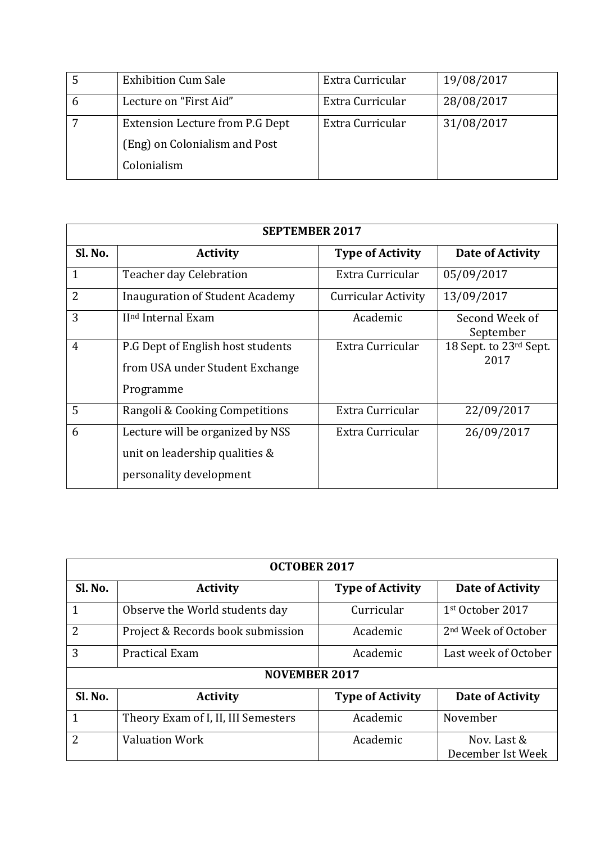| <b>Exhibition Cum Sale</b>      | Extra Curricular | 19/08/2017 |
|---------------------------------|------------------|------------|
| Lecture on "First Aid"          | Extra Curricular | 28/08/2017 |
| Extension Lecture from P.G Dept | Extra Curricular | 31/08/2017 |
| (Eng) on Colonialism and Post   |                  |            |
| Colonialism                     |                  |            |

| <b>SEPTEMBER 2017</b> |                                                                                               |                            |                                |  |
|-----------------------|-----------------------------------------------------------------------------------------------|----------------------------|--------------------------------|--|
| Sl. No.               | <b>Activity</b>                                                                               | <b>Type of Activity</b>    | Date of Activity               |  |
| $\mathbf{1}$          | Teacher day Celebration                                                                       | Extra Curricular           | 05/09/2017                     |  |
| $\overline{2}$        | Inauguration of Student Academy                                                               | <b>Curricular Activity</b> | 13/09/2017                     |  |
| 3                     | II <sup>nd</sup> Internal Exam                                                                | Academic                   | Second Week of<br>September    |  |
| $\overline{4}$        | P.G Dept of English host students<br>from USA under Student Exchange<br>Programme             | Extra Curricular           | 18 Sept. to 23rd Sept.<br>2017 |  |
| 5                     | Rangoli & Cooking Competitions                                                                | Extra Curricular           | 22/09/2017                     |  |
| 6                     | Lecture will be organized by NSS<br>unit on leadership qualities &<br>personality development | Extra Curricular           | 26/09/2017                     |  |

| <b>OCTOBER 2017</b> |                                     |                         |                                  |
|---------------------|-------------------------------------|-------------------------|----------------------------------|
| Sl. No.             | <b>Activity</b>                     | <b>Type of Activity</b> | Date of Activity                 |
| 1                   | Observe the World students day      | Curricular              | 1st October 2017                 |
| $\overline{2}$      | Project & Records book submission   | Academic                | 2 <sup>nd</sup> Week of October  |
| 3                   | <b>Practical Exam</b>               | Academic                | Last week of October             |
|                     | <b>NOVEMBER 2017</b>                |                         |                                  |
| Sl. No.             | <b>Activity</b>                     | <b>Type of Activity</b> | Date of Activity                 |
| 1                   | Theory Exam of I, II, III Semesters | Academic                | November                         |
| $\overline{2}$      | <b>Valuation Work</b>               | Academic                | Nov. Last &<br>December Ist Week |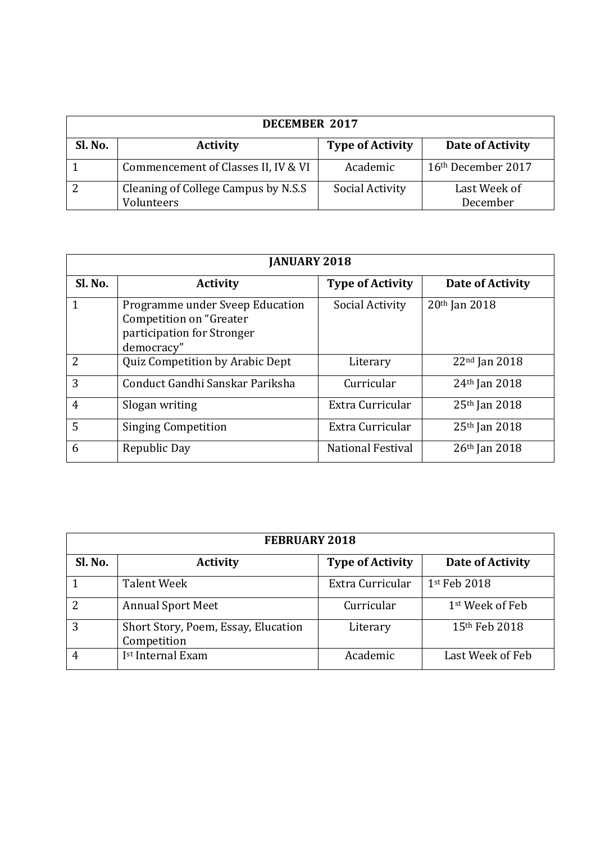| <b>DECEMBER 2017</b> |                                                   |                         |                          |  |
|----------------------|---------------------------------------------------|-------------------------|--------------------------|--|
| Sl. No.              | <b>Activity</b>                                   | <b>Type of Activity</b> | Date of Activity         |  |
|                      | Commencement of Classes II, IV & VI               | Academic                | 16th December 2017       |  |
|                      | Cleaning of College Campus by N.S.S<br>Volunteers | Social Activity         | Last Week of<br>December |  |

| <b>JANUARY 2018</b> |                                                                                                         |                          |                           |  |
|---------------------|---------------------------------------------------------------------------------------------------------|--------------------------|---------------------------|--|
| Sl. No.             | <b>Activity</b>                                                                                         | <b>Type of Activity</b>  | Date of Activity          |  |
| 1                   | Programme under Sveep Education<br>Competition on "Greater"<br>participation for Stronger<br>democracy" | Social Activity          | 20th Jan 2018             |  |
| $\overline{2}$      | Quiz Competition by Arabic Dept                                                                         | Literary                 | $22nd$ Jan 2018           |  |
| 3                   | Conduct Gandhi Sanskar Pariksha                                                                         | Curricular               | 24 <sup>th</sup> Jan 2018 |  |
| $\overline{4}$      | Slogan writing                                                                                          | Extra Curricular         | 25 <sup>th</sup> Jan 2018 |  |
| 5                   | <b>Singing Competition</b>                                                                              | Extra Curricular         | 25 <sup>th</sup> Jan 2018 |  |
| 6                   | Republic Day                                                                                            | <b>National Festival</b> | $26th$ Jan 2018           |  |

| <b>FEBRUARY 2018</b> |                                                    |                         |                             |  |
|----------------------|----------------------------------------------------|-------------------------|-----------------------------|--|
| Sl. No.              | <b>Activity</b>                                    | <b>Type of Activity</b> | Date of Activity            |  |
|                      | Talent Week                                        | Extra Curricular        | 1st Feb 2018                |  |
| $\mathcal{D}$        | <b>Annual Sport Meet</b>                           | Curricular              | 1 <sup>st</sup> Week of Feb |  |
| 3                    | Short Story, Poem, Essay, Elucation<br>Competition | Literary                | 15th Feb 2018               |  |
|                      | I <sup>st</sup> Internal Exam                      | Academic                | Last Week of Feb            |  |